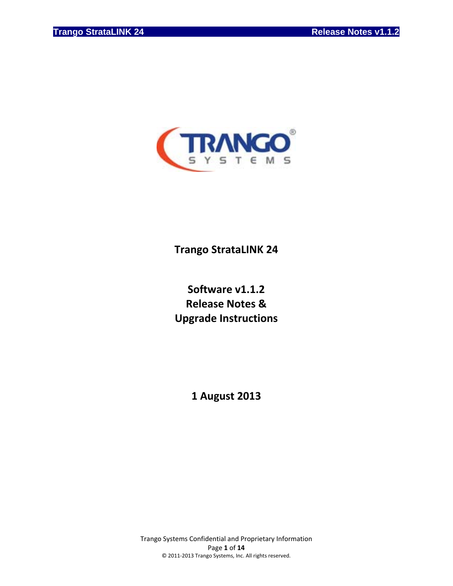

# **Trango StrataLINK 24**

# **Software v1.1.2 Release Notes & Upgrade Instructions**

**1 August 2013**

Trango Systems Confidential and Proprietary Information Page **1** of **14** © 2011‐2013 Trango Systems, Inc. All rights reserved.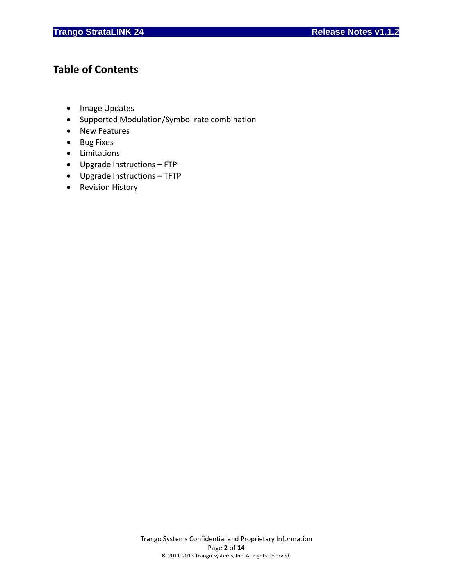# **Table of Contents**

- Image Updates
- Supported Modulation/Symbol rate combination
- New Features
- Bug Fixes
- Limitations
- Upgrade Instructions FTP
- Upgrade Instructions TFTP
- Revision History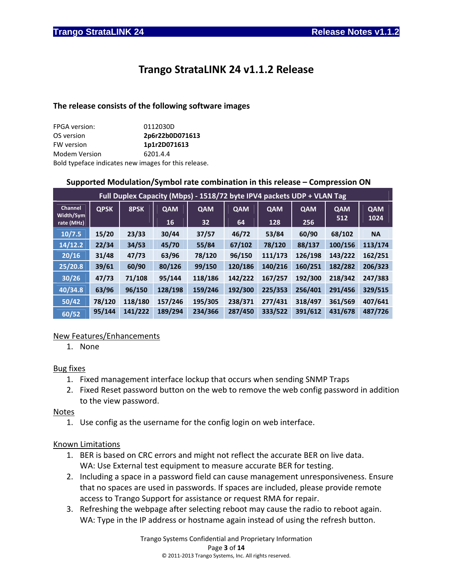# **Trango StrataLINK 24 v1.1.2 Release**

#### **The release consists of the following software images**

| <b>FPGA</b> version:                                 | 0112030D        |
|------------------------------------------------------|-----------------|
| OS version                                           | 2p6r22b0D071613 |
| FW version                                           | 1p1r2D071613    |
| <b>Modem Version</b>                                 | 6201.4.4        |
| Bold typeface indicates new images for this release. |                 |

#### **Supported Modulation/Symbol rate combination in this release – Compression ON**

| Full Duplex Capacity (Mbps) - 1518/72 byte IPV4 packets UDP + VLAN Tag |             |         |            |            |            |            |            |         |                    |
|------------------------------------------------------------------------|-------------|---------|------------|------------|------------|------------|------------|---------|--------------------|
| Channel<br>Width/Sym                                                   | <b>QPSK</b> | 8PSK    | <b>QAM</b> | <b>QAM</b> | <b>QAM</b> | <b>QAM</b> | <b>QAM</b> | QAM     | <b>QAM</b><br>1024 |
| rate (MHz)                                                             |             |         | 16         | 32         | 64         | 128        | 256        | 512     |                    |
| 10/7.5                                                                 | 15/20       | 23/33   | 30/44      | 37/57      | 46/72      | 53/84      | 60/90      | 68/102  | <b>NA</b>          |
| 14/12.2                                                                | 22/34       | 34/53   | 45/70      | 55/84      | 67/102     | 78/120     | 88/137     | 100/156 | 113/174            |
| 20/16                                                                  | 31/48       | 47/73   | 63/96      | 78/120     | 96/150     | 111/173    | 126/198    | 143/222 | 162/251            |
| 25/20.8                                                                | 39/61       | 60/90   | 80/126     | 99/150     | 120/186    | 140/216    | 160/251    | 182/282 | 206/323            |
| 30/26                                                                  | 47/73       | 71/108  | 95/144     | 118/186    | 142/222    | 167/257    | 192/300    | 218/342 | 247/383            |
| 40/34.8                                                                | 63/96       | 96/150  | 128/198    | 159/246    | 192/300    | 225/353    | 256/401    | 291/456 | 329/515            |
| 50/42                                                                  | 78/120      | 118/180 | 157/246    | 195/305    | 238/371    | 277/431    | 318/497    | 361/569 | 407/641            |
| 60/52                                                                  | 95/144      | 141/222 | 189/294    | 234/366    | 287/450    | 333/522    | 391/612    | 431/678 | 487/726            |

#### New Features/Enhancements

1. None

#### Bug fixes

- 1. Fixed management interface lockup that occurs when sending SNMP Traps
- 2. Fixed Reset password button on the web to remove the web config password in addition to the view password.

#### Notes

1. Use config as the username for the config login on web interface.

#### Known Limitations

- 1. BER is based on CRC errors and might not reflect the accurate BER on live data. WA: Use External test equipment to measure accurate BER for testing.
- 2. Including a space in a password field can cause management unresponsiveness. Ensure that no spaces are used in passwords. If spaces are included, please provide remote access to Trango Support for assistance or request RMA for repair.
- 3. Refreshing the webpage after selecting reboot may cause the radio to reboot again. WA: Type in the IP address or hostname again instead of using the refresh button.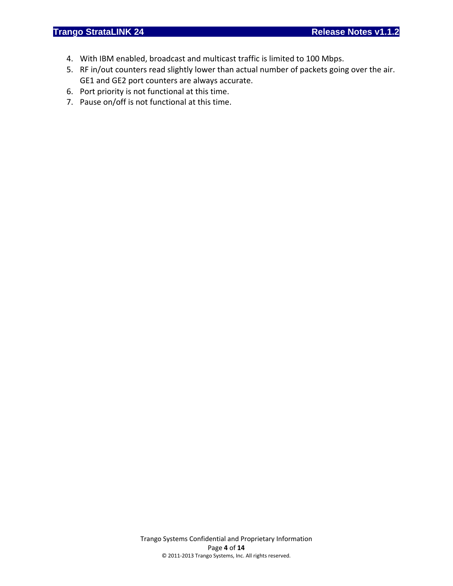- 4. With IBM enabled, broadcast and multicast traffic is limited to 100 Mbps.
- 5. RF in/out counters read slightly lower than actual number of packets going over the air. GE1 and GE2 port counters are always accurate.
- 6. Port priority is not functional at this time.
- 7. Pause on/off is not functional at this time.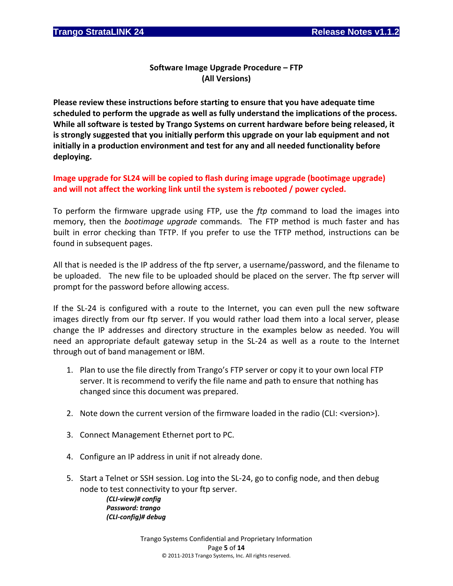### **Software Image Upgrade Procedure – FTP (All Versions)**

**Please review these instructions before starting to ensure that you have adequate time scheduled to perform the upgrade as well as fully understand the implications of the process. While all software is tested by Trango Systems on current hardware before being released, it is strongly suggested that you initially perform this upgrade on your lab equipment and not initially in a production environment and test for any and all needed functionality before deploying.**

### **Image upgrade for SL24 will be copied to flash during image upgrade (bootimage upgrade) and will not affect the working link until the system is rebooted / power cycled.**

To perform the firmware upgrade using FTP, use the *ftp* command to load the images into memory, then the *bootimage upgrade* commands. The FTP method is much faster and has built in error checking than TFTP. If you prefer to use the TFTP method, instructions can be found in subsequent pages.

All that is needed is the IP address of the ftp server, a username/password, and the filename to be uploaded. The new file to be uploaded should be placed on the server. The ftp server will prompt for the password before allowing access.

If the SL‐24 is configured with a route to the Internet, you can even pull the new software images directly from our ftp server. If you would rather load them into a local server, please change the IP addresses and directory structure in the examples below as needed. You will need an appropriate default gateway setup in the SL‐24 as well as a route to the Internet through out of band management or IBM.

- 1. Plan to use the file directly from Trango's FTP server or copy it to your own local FTP server. It is recommend to verify the file name and path to ensure that nothing has changed since this document was prepared.
- 2. Note down the current version of the firmware loaded in the radio (CLI: <version>).
- 3. Connect Management Ethernet port to PC.
- 4. Configure an IP address in unit if not already done.
- 5. Start a Telnet or SSH session. Log into the SL‐24, go to config node, and then debug node to test connectivity to your ftp server.

*(CLI‐view)# config Password: trango (CLI‐config)# debug*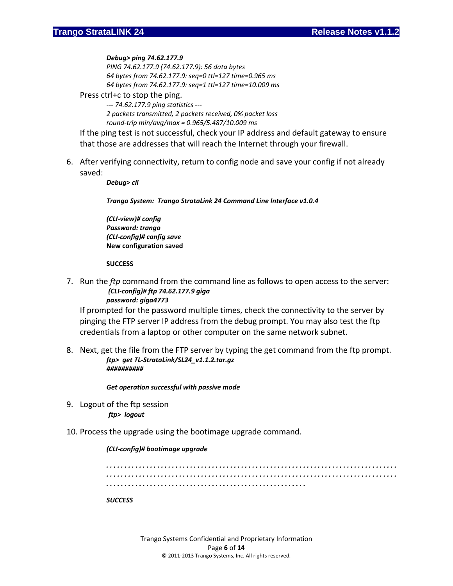#### *Debug> ping 74.62.177.9*

*PING 74.62.177.9 (74.62.177.9): 56 data bytes 64 bytes from 74.62.177.9: seq=0 ttl=127 time=0.965 ms 64 bytes from 74.62.177.9: seq=1 ttl=127 time=10.009 ms*

#### Press ctrl+c to stop the ping.

*‐‐‐ 74.62.177.9 ping statistics ‐‐‐ 2 packets transmitted, 2 packets received, 0% packet loss round‐trip min/avg/max = 0.965/5.487/10.009 ms*

If the ping test is not successful, check your IP address and default gateway to ensure that those are addresses that will reach the Internet through your firewall.

6. After verifying connectivity, return to config node and save your config if not already saved:

*Debug> cli*

*Trango System: Trango StrataLink 24 Command Line Interface v1.0.4*

*(CLI‐view)# config Password: trango (CLI‐config)# config save* **New configuration saved**

#### **SUCCESS**

7. Run the *ftp* command from the command line as follows to open access to the server: *(CLI‐config)# ftp 74.62.177.9 giga* *password: giga4773*

If prompted for the password multiple times, check the connectivity to the server by pinging the FTP server IP address from the debug prompt. You may also test the ftp credentials from a laptop or other computer on the same network subnet.

8. Next, get the file from the FTP server by typing the get command from the ftp prompt. *ftp> get TL‐StrataLink/SL24\_v1.1.2.tar.gz ##########*

*Get operation successful with passive mode*

9. Logout of the ftp session *ftp> logout*

#### 10. Process the upgrade using the bootimage upgrade command.

#### *(CLI‐config)# bootimage upgrade*

*. . . . . . . . . . . . . . . . . . . . . . . . . . . . . . . . . . . . . . . . . . . . . . . . . . . . . . . . . . . . . . . . . . . . . . . . . . . . . . . . . . . . . . . . . . . . . . . . . . . . . . . . . . . . . . . . . . . . . . . . . . . . . . . . . . . . . . . . . . . . . . . . . . . . . . . . . . . . . . . . . . . . . . . . . . . . . . . . . . . . . . . . . . . . . . . . . . . . . . . . . . . . . . . . . . . . . . . SUCCESS*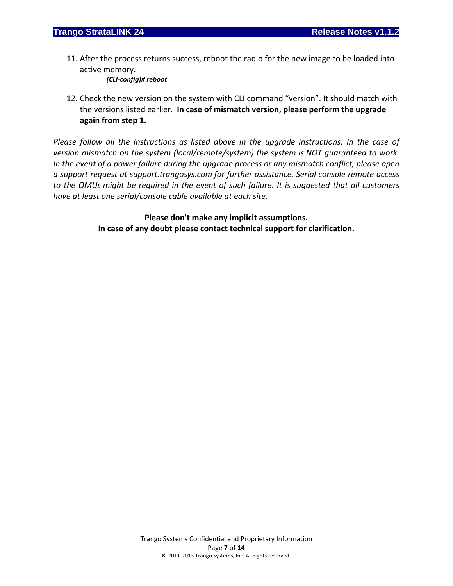11. After the process returns success, reboot the radio for the new image to be loaded into active memory.

*(CLI‐config)# reboot*

12. Check the new version on the system with CLI command "version". It should match with the versions listed earlier. **In case of mismatch version, please perform the upgrade again from step 1.**

*Please follow all the instructions as listed above in the upgrade instructions. In the case of version mismatch on the system (local/remote/system) the system is NOT guaranteed to work. In the event of a power failure during the upgrade process or any mismatch conflict, please open a support request at support.trangosys.com for further assistance. Serial console remote access to the OMUs might be required in the event of such failure. It is suggested that all customers have at least one serial/console cable available at each site.*

> **Please don't make any implicit assumptions. In case of any doubt please contact technical support for clarification.**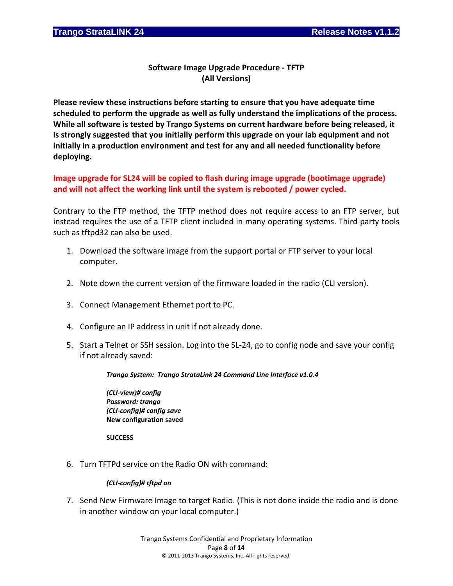### **Software Image Upgrade Procedure ‐ TFTP (All Versions)**

**Please review these instructions before starting to ensure that you have adequate time scheduled to perform the upgrade as well as fully understand the implications of the process. While all software is tested by Trango Systems on current hardware before being released, it is strongly suggested that you initially perform this upgrade on your lab equipment and not initially in a production environment and test for any and all needed functionality before deploying.**

**Image upgrade for SL24 will be copied to flash during image upgrade (bootimage upgrade) and will not affect the working link until the system is rebooted / power cycled.**

Contrary to the FTP method, the TFTP method does not require access to an FTP server, but instead requires the use of a TFTP client included in many operating systems. Third party tools such as tftpd32 can also be used.

- 1. Download the software image from the support portal or FTP server to your local computer.
- 2. Note down the current version of the firmware loaded in the radio (CLI version).
- 3. Connect Management Ethernet port to PC.
- 4. Configure an IP address in unit if not already done.
- 5. Start a Telnet or SSH session. Log into the SL‐24, go to config node and save your config if not already saved:

#### *Trango System: Trango StrataLink 24 Command Line Interface v1.0.4*

*(CLI‐view)# config Password: trango (CLI‐config)# config save* **New configuration saved**

**SUCCESS**

6. Turn TFTPd service on the Radio ON with command:

#### *(CLI‐config)# tftpd on*

7. Send New Firmware Image to target Radio. (This is not done inside the radio and is done in another window on your local computer.)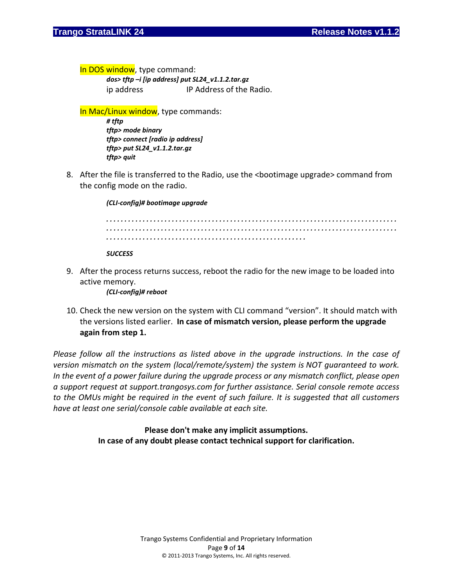In DOS window, type command:

*dos> tftp –i [ip address] put SL24\_v1.1.2.tar.gz* ip address IP Address of the Radio.

In Mac/Linux window, type commands:

*# tftp tftp> mode binary tftp> connect [radio ip address] tftp> put SL24\_v1.1.2.tar.gz tftp> quit*

8. After the file is transferred to the Radio, use the <bootimage upgrade> command from the config mode on the radio.

*(CLI‐config)# bootimage upgrade* 

*. . . . . . . . . . . . . . . . . . . . . . . . . . . . . . . . . . . . . . . . . . . . . . . . . . . . . . . . . . . . . . . . . . . . . . . . . . . . . . . . . . . . . . . . . . . . . . . . . . . . . . . . . . . . . . . . . . . . . . . . . . . . . . . . . . . . . . . . . . . . . . . . . . . . . . . . . . . . . . . . . . . . . . . . . . . . . . . . . . . . . . . . . . . . . . . . . . . . . . . . . . . . . . . . . . . . . . .* 

*SUCCESS*

9. After the process returns success, reboot the radio for the new image to be loaded into active memory.

*(CLI‐config)# reboot*

10. Check the new version on the system with CLI command "version". It should match with the versions listed earlier. **In case of mismatch version, please perform the upgrade again from step 1.**

*Please follow all the instructions as listed above in the upgrade instructions. In the case of version mismatch on the system (local/remote/system) the system is NOT guaranteed to work. In the event of a power failure during the upgrade process or any mismatch conflict, please open a support request at support.trangosys.com for further assistance. Serial console remote access to the OMUs might be required in the event of such failure. It is suggested that all customers have at least one serial/console cable available at each site.*

> **Please don't make any implicit assumptions. In case of any doubt please contact technical support for clarification.**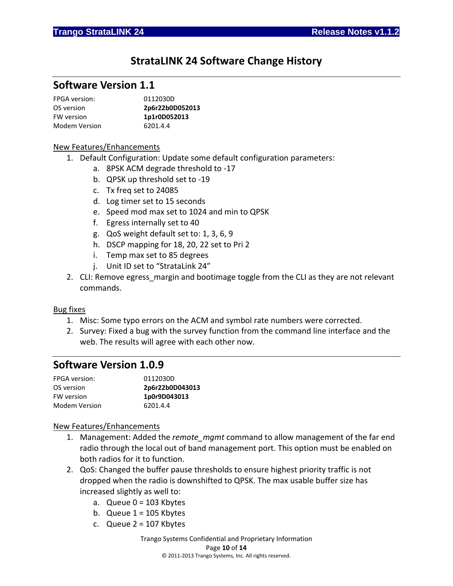## **StrataLINK 24 Software Change History**

## **Software Version 1.1**

| <b>FPGA</b> version: | 0112030D        |
|----------------------|-----------------|
| OS version           | 2p6r22b0D052013 |
| <b>FW</b> version    | 1p1r0D052013    |
| Modem Version        | 6201.4.4        |

#### New Features/Enhancements

- 1. Default Configuration: Update some default configuration parameters:
	- a. 8PSK ACM degrade threshold to ‐17
	- b. QPSK up threshold set to ‐19
	- c. Tx freq set to 24085
	- d. Log timer set to 15 seconds
	- e. Speed mod max set to 1024 and min to QPSK
	- f. Egress internally set to 40
	- g. QoS weight default set to: 1, 3, 6, 9
	- h. DSCP mapping for 18, 20, 22 set to Pri 2
	- i. Temp max set to 85 degrees
	- j. Unit ID set to "StrataLink 24"
- 2. CLI: Remove egress margin and bootimage toggle from the CLI as they are not relevant commands.

#### Bug fixes

- 1. Misc: Some typo errors on the ACM and symbol rate numbers were corrected.
- 2. Survey: Fixed a bug with the survey function from the command line interface and the web. The results will agree with each other now.

### **Software Version 1.0.9**

| <b>FPGA</b> version: | 0112030D        |
|----------------------|-----------------|
| OS version           | 2p6r22b0D043013 |
| FW version           | 1p0r9D043013    |
| Modem Version        | 6201.4.4        |

#### New Features/Enhancements

- 1. Management: Added the *remote\_mgmt* command to allow management of the far end radio through the local out of band management port. This option must be enabled on both radios for it to function.
- 2. QoS: Changed the buffer pause thresholds to ensure highest priority traffic is not dropped when the radio is downshifted to QPSK. The max usable buffer size has increased slightly as well to:
	- a. Queue  $0 = 103$  Kbytes
	- b. Queue  $1 = 105$  Kbytes
	- c. Queue  $2 = 107$  Kbytes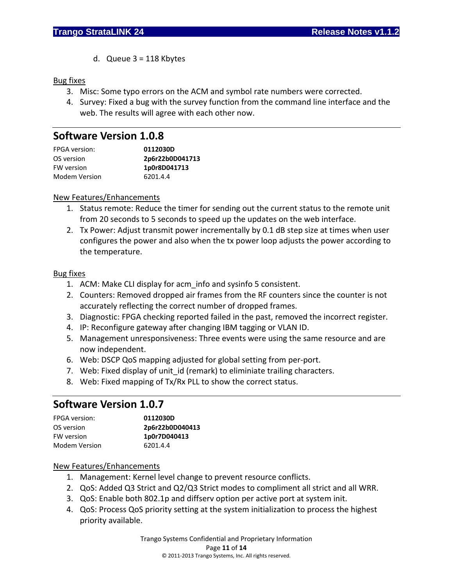d. Queue 3 = 118 Kbytes

#### Bug fixes

- 3. Misc: Some typo errors on the ACM and symbol rate numbers were corrected.
- 4. Survey: Fixed a bug with the survey function from the command line interface and the web. The results will agree with each other now.

## **Software Version 1.0.8**

| <b>FPGA</b> version: | 0112030D        |
|----------------------|-----------------|
| OS version           | 2p6r22b0D041713 |
| FW version           | 1p0r8D041713    |
| Modem Version        | 6201.4.4        |

#### New Features/Enhancements

- 1. Status remote: Reduce the timer for sending out the current status to the remote unit from 20 seconds to 5 seconds to speed up the updates on the web interface.
- 2. Tx Power: Adjust transmit power incrementally by 0.1 dB step size at times when user configures the power and also when the tx power loop adjusts the power according to the temperature.

#### Bug fixes

- 1. ACM: Make CLI display for acm\_info and sysinfo 5 consistent.
- 2. Counters: Removed dropped air frames from the RF counters since the counter is not accurately reflecting the correct number of dropped frames.
- 3. Diagnostic: FPGA checking reported failed in the past, removed the incorrect register.
- 4. IP: Reconfigure gateway after changing IBM tagging or VLAN ID.
- 5. Management unresponsiveness: Three events were using the same resource and are now independent.
- 6. Web: DSCP QoS mapping adjusted for global setting from per‐port.
- 7. Web: Fixed display of unit id (remark) to eliminiate trailing characters.
- 8. Web: Fixed mapping of Tx/Rx PLL to show the correct status.

## **Software Version 1.0.7**

| <b>FPGA</b> version: | 0112030D        |
|----------------------|-----------------|
| OS version           | 2p6r22b0D040413 |
| FW version           | 1p0r7D040413    |
| Modem Version        | 6201.4.4        |

#### New Features/Enhancements

- 1. Management: Kernel level change to prevent resource conflicts.
- 2. QoS: Added Q3 Strict and Q2/Q3 Strict modes to compliment all strict and all WRR.
- 3. QoS: Enable both 802.1p and diffserv option per active port at system init.
- 4. QoS: Process QoS priority setting at the system initialization to process the highest priority available.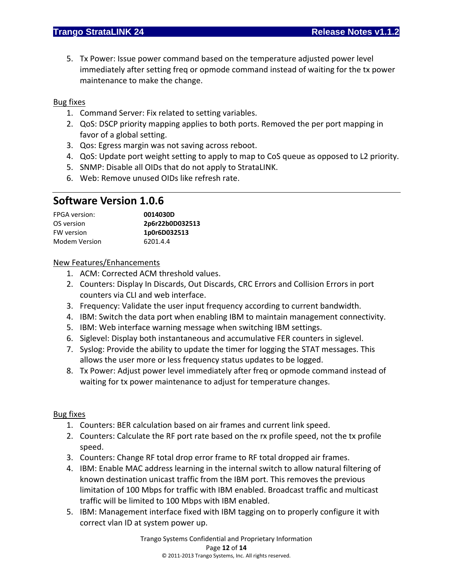5. Tx Power: Issue power command based on the temperature adjusted power level immediately after setting freq or opmode command instead of waiting for the tx power maintenance to make the change.

#### Bug fixes

- 1. Command Server: Fix related to setting variables.
- 2. QoS: DSCP priority mapping applies to both ports. Removed the per port mapping in favor of a global setting.
- 3. Qos: Egress margin was not saving across reboot.
- 4. QoS: Update port weight setting to apply to map to CoS queue as opposed to L2 priority.
- 5. SNMP: Disable all OIDs that do not apply to StrataLINK.
- 6. Web: Remove unused OIDs like refresh rate.

## **Software Version 1.0.6**

| <b>FPGA</b> version: | 0014030D        |
|----------------------|-----------------|
| OS version           | 2p6r22b0D032513 |
| <b>FW</b> version    | 1p0r6D032513    |
| Modem Version        | 6201.4.4        |

#### New Features/Enhancements

- 1. ACM: Corrected ACM threshold values.
- 2. Counters: Display In Discards, Out Discards, CRC Errors and Collision Errors in port counters via CLI and web interface.
- 3. Frequency: Validate the user input frequency according to current bandwidth.
- 4. IBM: Switch the data port when enabling IBM to maintain management connectivity.
- 5. IBM: Web interface warning message when switching IBM settings.
- 6. Siglevel: Display both instantaneous and accumulative FER counters in siglevel.
- 7. Syslog: Provide the ability to update the timer for logging the STAT messages. This allows the user more or less frequency status updates to be logged.
- 8. Tx Power: Adjust power level immediately after freq or opmode command instead of waiting for tx power maintenance to adjust for temperature changes.

#### Bug fixes

- 1. Counters: BER calculation based on air frames and current link speed.
- 2. Counters: Calculate the RF port rate based on the rx profile speed, not the tx profile speed.
- 3. Counters: Change RF total drop error frame to RF total dropped air frames.
- 4. IBM: Enable MAC address learning in the internal switch to allow natural filtering of known destination unicast traffic from the IBM port. This removes the previous limitation of 100 Mbps for traffic with IBM enabled. Broadcast traffic and multicast traffic will be limited to 100 Mbps with IBM enabled.
- 5. IBM: Management interface fixed with IBM tagging on to properly configure it with correct vlan ID at system power up.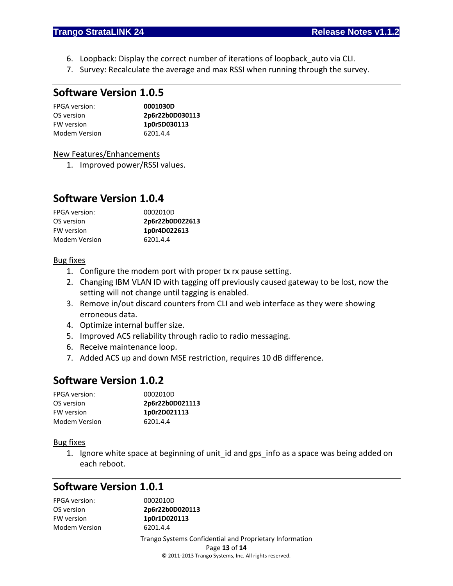- 6. Loopback: Display the correct number of iterations of loopback\_auto via CLI.
- 7. Survey: Recalculate the average and max RSSI when running through the survey.

### **Software Version 1.0.5**

| <b>FPGA</b> version: | 0001030D        |
|----------------------|-----------------|
| OS version           | 2p6r22b0D030113 |
| <b>FW</b> version    | 1p0r5D030113    |
| Modem Version        | 6201.4.4        |

#### New Features/Enhancements

1. Improved power/RSSI values.

## **Software Version 1.0.4**

| <b>FPGA</b> version: | 0002010D        |  |
|----------------------|-----------------|--|
| OS version           | 2p6r22b0D022613 |  |
| FW version           | 1p0r4D022613    |  |
| Modem Version        | 6201.4.4        |  |

#### Bug fixes

- 1. Configure the modem port with proper tx rx pause setting.
- 2. Changing IBM VLAN ID with tagging off previously caused gateway to be lost, now the setting will not change until tagging is enabled.
- 3. Remove in/out discard counters from CLI and web interface as they were showing erroneous data.
- 4. Optimize internal buffer size.
- 5. Improved ACS reliability through radio to radio messaging.
- 6. Receive maintenance loop.
- 7. Added ACS up and down MSE restriction, requires 10 dB difference.

## **Software Version 1.0.2**

| <b>FPGA</b> version: | 0002010D        |
|----------------------|-----------------|
| OS version           | 2p6r22b0D021113 |
| <b>FW</b> version    | 1p0r2D021113    |
| Modem Version        | 6201.4.4        |

#### Bug fixes

1. Ignore white space at beginning of unit id and gps info as a space was being added on each reboot.

## **Software Version 1.0.1**

| FPGA version: | 0002010D                                                |
|---------------|---------------------------------------------------------|
| OS version    | 2p6r22b0D020113                                         |
| FW version    | 1p0r1D020113                                            |
| Modem Version | 6201.4.4                                                |
|               | Trango Systems Confidential and Proprietary Information |
|               | Page 13 of 14                                           |
|               | © 2011-2013 Trango Systems, Inc. All rights reserved.   |